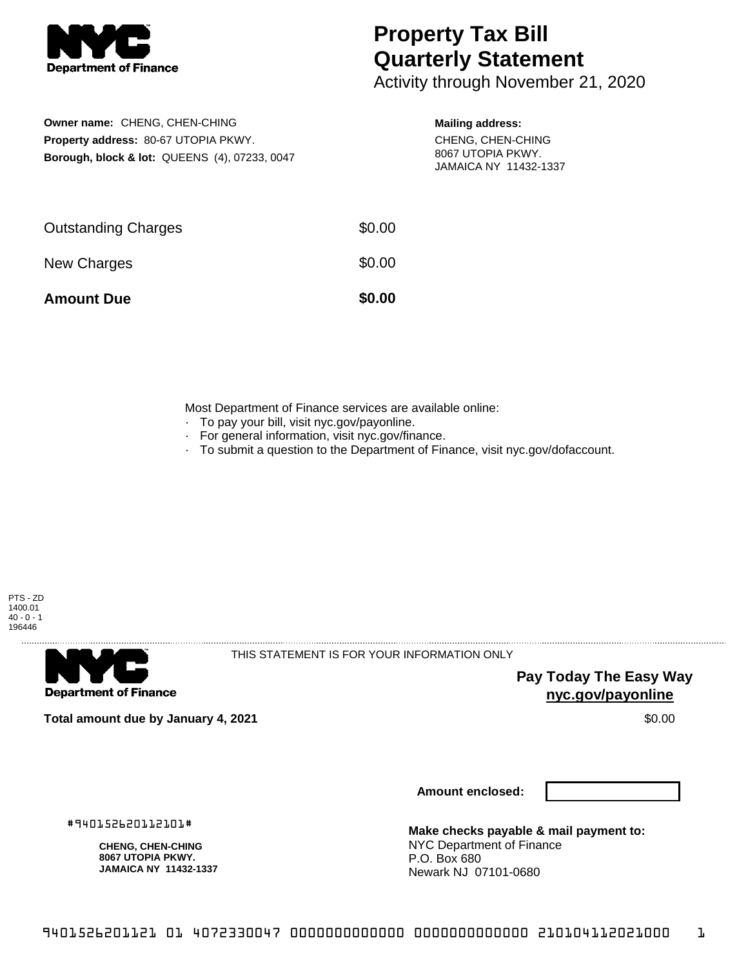

## **Property Tax Bill Quarterly Statement**

Activity through November 21, 2020

**Owner name:** CHENG, CHEN-CHING **Property address:** 80-67 UTOPIA PKWY. **Borough, block & lot:** QUEENS (4), 07233, 0047

## **Mailing address:**

CHENG, CHEN-CHING 8067 UTOPIA PKWY. JAMAICA NY 11432-1337

| <b>Amount Due</b>          | \$0.00 |
|----------------------------|--------|
| New Charges                | \$0.00 |
| <b>Outstanding Charges</b> | \$0.00 |

Most Department of Finance services are available online:

- · To pay your bill, visit nyc.gov/payonline.
- For general information, visit nyc.gov/finance.
- · To submit a question to the Department of Finance, visit nyc.gov/dofaccount.





THIS STATEMENT IS FOR YOUR INFORMATION ONLY

**Pay Today The Easy Way nyc.gov/payonline**

**Total amount due by January 4, 2021** \$0.00

**CHENG, CHEN-CHING 8067 UTOPIA PKWY. JAMAICA NY 11432-1337**

#940152620112101#

**Amount enclosed:**

**Make checks payable & mail payment to:** NYC Department of Finance P.O. Box 680 Newark NJ 07101-0680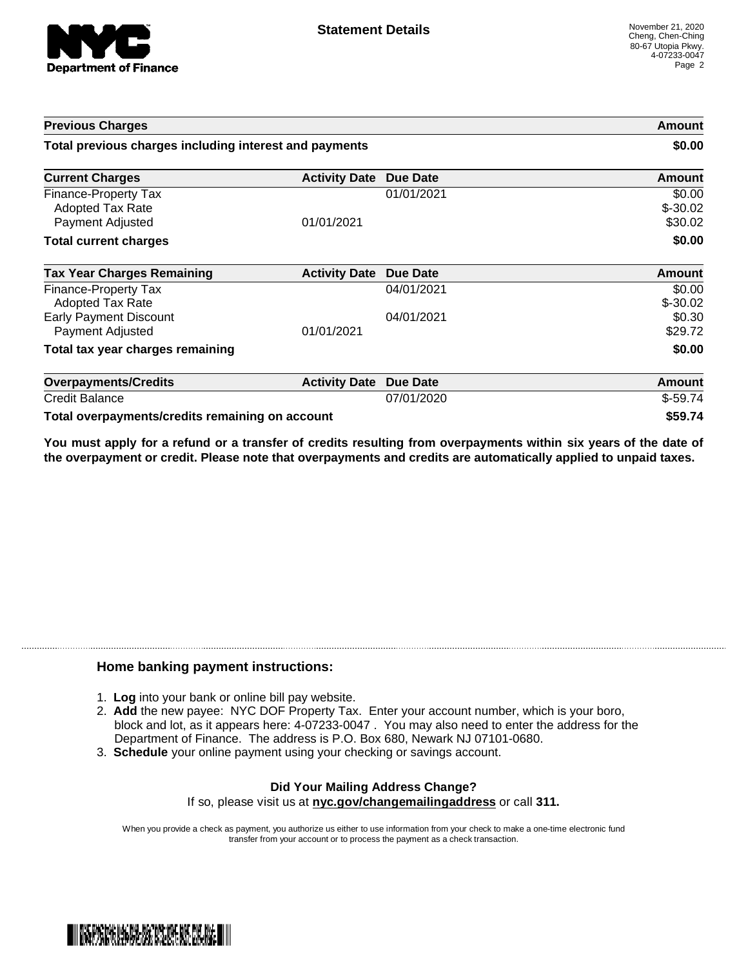

| <b>Previous Charges</b>                                             |                      |                 | Amount                         |
|---------------------------------------------------------------------|----------------------|-----------------|--------------------------------|
| Total previous charges including interest and payments              |                      |                 | \$0.00                         |
| <b>Current Charges</b>                                              | <b>Activity Date</b> | <b>Due Date</b> | Amount                         |
| Finance-Property Tax<br><b>Adopted Tax Rate</b><br>Payment Adjusted | 01/01/2021           | 01/01/2021      | \$0.00<br>$$-30.02$<br>\$30.02 |
| <b>Total current charges</b>                                        |                      |                 | \$0.00                         |
| <b>Tax Year Charges Remaining</b>                                   | <b>Activity Date</b> | Due Date        | Amount                         |
| Finance-Property Tax<br>Adopted Tax Rate                            |                      | 04/01/2021      | \$0.00<br>$$-30.02$            |
| <b>Early Payment Discount</b><br>Payment Adjusted                   | 01/01/2021           | 04/01/2021      | \$0.30<br>\$29.72              |
| Total tax year charges remaining                                    |                      |                 | \$0.00                         |
| <b>Overpayments/Credits</b>                                         | <b>Activity Date</b> | Due Date        | <b>Amount</b>                  |
| <b>Credit Balance</b>                                               |                      | 07/01/2020      | $$-59.74$                      |
| Total overpayments/credits remaining on account                     |                      |                 | \$59.74                        |

You must apply for a refund or a transfer of credits resulting from overpayments within six years of the date of **the overpayment or credit. Please note that overpayments and credits are automatically applied to unpaid taxes.**

## **Home banking payment instructions:**

- 1. **Log** into your bank or online bill pay website.
- 2. **Add** the new payee: NYC DOF Property Tax. Enter your account number, which is your boro, block and lot, as it appears here: 4-07233-0047 . You may also need to enter the address for the Department of Finance. The address is P.O. Box 680, Newark NJ 07101-0680.
- 3. **Schedule** your online payment using your checking or savings account.

## **Did Your Mailing Address Change?** If so, please visit us at **nyc.gov/changemailingaddress** or call **311.**

When you provide a check as payment, you authorize us either to use information from your check to make a one-time electronic fund transfer from your account or to process the payment as a check transaction.